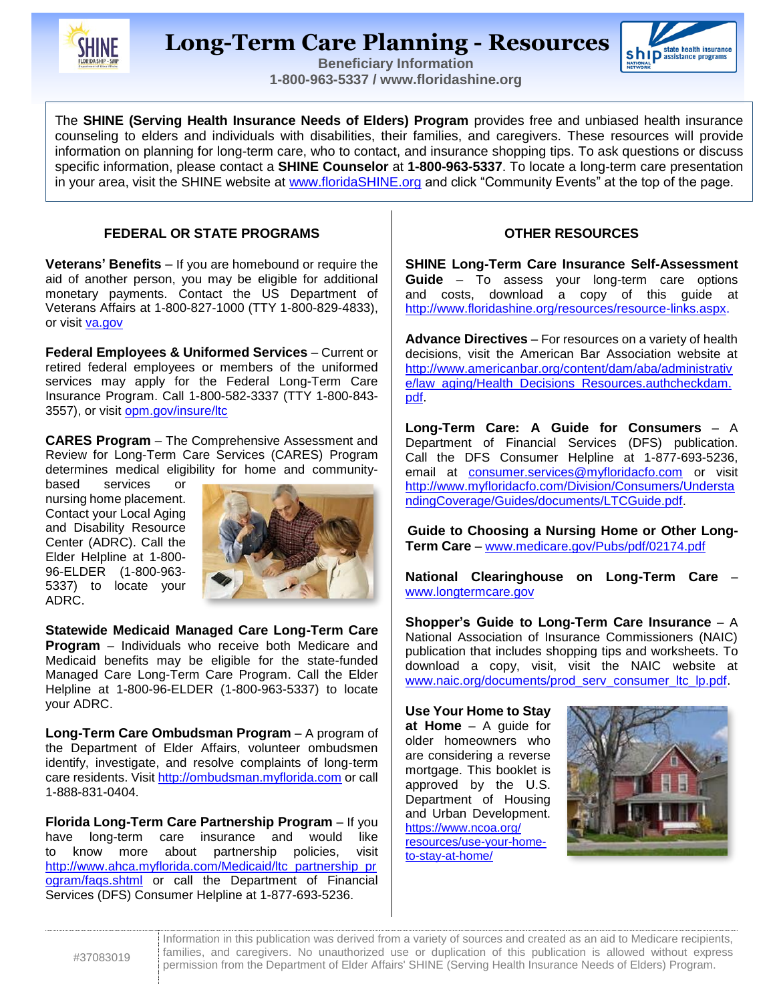

# **Long-Term Care Planning - Resources**



**Beneficiary Information 1-800-963-5337 / www.floridashine.org**

The **SHINE (Serving Health Insurance Needs of Elders) Program** provides free and unbiased health insurance counseling to elders and individuals with disabilities, their families, and caregivers. These resources will provide information on planning for long-term care, who to contact, and insurance shopping tips. To ask questions or discuss specific information, please contact a **SHINE Counselor** at **1-800-963-5337**. To locate a long-term care presentation in your area, visit the SHINE website at [www.floridaSHINE.org](http://www.floridashine.org/) and click "Community Events" at the top of the page.

#### **FEDERAL OR STATE PROGRAMS**

**Veterans' Benefits** – If you are homebound or require the aid of another person, you may be eligible for additional monetary payments. Contact the US Department of Veterans Affairs at 1-800-827-1000 (TTY 1-800-829-4833), or visit [va.gov](http://www.va.gov/)

**Federal Employees & Uniformed Services** – Current or retired federal employees or members of the uniformed services may apply for the Federal Long-Term Care Insurance Program. Call 1-800-582-3337 (TTY 1-800-843- 3557), or visit [opm.gov/insure/ltc](https://www.opm.gov/healthcare-insurance/long-term-care/)

**CARES Program** – The Comprehensive Assessment and Review for Long-Term Care Services (CARES) Program determines medical eligibility for home and community-

based services or nursing home placement. Contact your Local Aging and Disability Resource Center (ADRC). Call the Elder Helpline at 1-800- 96-ELDER (1-800-963- 5337) to locate your ADRC.



**Statewide Medicaid Managed Care Long-Term Care Program** – Individuals who receive both Medicare and Medicaid benefits may be eligible for the state-funded Managed Care Long-Term Care Program. Call the Elder Helpline at 1-800-96-ELDER (1-800-963-5337) to locate your ADRC.

**Long-Term Care Ombudsman Program** – A program of the Department of Elder Affairs, volunteer ombudsmen identify, investigate, and resolve complaints of long-term care residents. Visit [http://ombudsman.myflorida.com](http://ombudsman.myflorida.com/) or call 1-888-831-0404.

**Florida Long-Term Care Partnership Program** – If you have long-term care insurance and would like to know more about partnership policies, visit [http://www.ahca.myflorida.com/Medicaid/ltc\\_partnership\\_pr](http://www.ahca.myflorida.com/Medicaid/ltc_partnership_program/faqs.shtml) [ogram/faqs.shtml](http://www.ahca.myflorida.com/Medicaid/ltc_partnership_program/faqs.shtml) or call the Department of Financial Services (DFS) Consumer Helpline at 1-877-693-5236.

#### **OTHER RESOURCES**

**SHINE Long-Term Care Insurance Self-Assessment Guide** – To assess your long-term care options and costs, download a copy of this guide at [http://www.floridashine.org/resources/resource-links.aspx.](http://www.floridashine.org/resources/resource-links.aspx)

**Advance Directives** – For resources on a variety of health decisions, visit the American Bar Association website at [http://www.americanbar.org/content/dam/aba/administrativ](http://www.americanbar.org/content/dam/aba/administrative/law_aging/Health_Decisions_Resources.authcheckdam.pdf) [e/law\\_aging/Health\\_Decisions\\_Resources.authcheckdam.](http://www.americanbar.org/content/dam/aba/administrative/law_aging/Health_Decisions_Resources.authcheckdam.pdf) [pdf.](http://www.americanbar.org/content/dam/aba/administrative/law_aging/Health_Decisions_Resources.authcheckdam.pdf)

**Long-Term Care: A Guide for Consumers** – A Department of Financial Services (DFS) publication. Call the DFS Consumer Helpline at 1-877-693-5236, email at [consumer.services@myfloridacfo.com](mailto:consumer.services@myfloridacfo.com) or visit [http://www.myfloridacfo.com/Division/Consumers/Understa](http://www.myfloridacfo.com/Division/Consumers/UnderstandingCoverage/Guides/documents/LTCGuide.pdf) [ndingCoverage/Guides/documents/LTCGuide.pdf.](http://www.myfloridacfo.com/Division/Consumers/UnderstandingCoverage/Guides/documents/LTCGuide.pdf)

**Guide to Choosing a Nursing Home or Other Long-Term Care** – [www.medicare.gov/Pubs/pdf/02174.pdf](http://www.medicare.gov/Pubs/pdf/02174.pdf)

**National Clearinghouse on Long-Term Care** – [www.longtermcare.gov](http://www.longtermcare.gov/)

**Shopper's Guide to Long-Term Care Insurance** – A National Association of Insurance Commissioners (NAIC) publication that includes shopping tips and worksheets. To download a copy, visit, visit the NAIC website at [www.naic.org/documents/prod\\_serv\\_consumer\\_ltc\\_lp.pdf.](http://www.naic.org/documents/prod_serv_consumer_ltc_lp.pdf)

**Use Your Home to Stay at Home** – A guide for older homeowners who are considering a reverse mortgage. This booklet is approved by the U.S. Department of Housing and Urban Development. [https://www.ncoa.org/](https://www.ncoa.org/%20resources/use-your-home-to-stay-at-home/)  [resources/use-your-home](https://www.ncoa.org/%20resources/use-your-home-to-stay-at-home/)[to-stay-at-home/](https://www.ncoa.org/%20resources/use-your-home-to-stay-at-home/)



Information in this publication was derived from a variety of sources and created as an aid to Medicare recipients, families, and caregivers. No unauthorized use or duplication of this publication is allowed without express permission from the Department of Elder Affairs' SHINE (Serving Health Insurance Needs of Elders) Program.